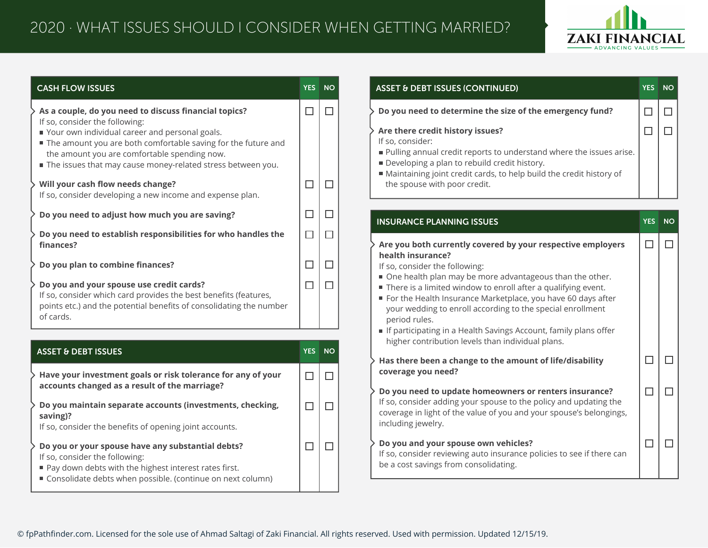## 2020 · WHAT ISSUES SHOULD I CONSIDER WHEN GETTING MARRIED?



| <b>CASH FLOW ISSUES</b>                                                                                                                                                                                                                                          |        | YES NO |
|------------------------------------------------------------------------------------------------------------------------------------------------------------------------------------------------------------------------------------------------------------------|--------|--------|
| As a couple, do you need to discuss financial topics?                                                                                                                                                                                                            | $\Box$ | $\Box$ |
| If so, consider the following:<br>Your own individual career and personal goals.<br>The amount you are both comfortable saving for the future and<br>the amount you are comfortable spending now.<br>The issues that may cause money-related stress between you. |        |        |
| Will your cash flow needs change?<br>If so, consider developing a new income and expense plan.                                                                                                                                                                   | □      | $\Box$ |
| Do you need to adjust how much you are saving?                                                                                                                                                                                                                   | $\Box$ | $\Box$ |
| Do you need to establish responsibilities for who handles the<br>finances?                                                                                                                                                                                       | $\Box$ | $\Box$ |
| Do you plan to combine finances?                                                                                                                                                                                                                                 | $\Box$ | П      |
| Do you and your spouse use credit cards?<br>If so, consider which card provides the best benefits (features,<br>points etc.) and the potential benefits of consolidating the number<br>of cards.                                                                 | □      | $\Box$ |
| <b>ASSET &amp; DEBT ISSUES</b>                                                                                                                                                                                                                                   |        | YES NO |
| Have your investment goals or risk tolerance for any of your                                                                                                                                                                                                     | $\Box$ | $\Box$ |
| accounts changed as a result of the marriage?<br>Do you maintain separate accounts (investments, checking,<br>saving)?<br>If so, consider the benefits of opening joint accounts.                                                                                | $\Box$ | $\Box$ |
| Do you or your spouse have any substantial debts?<br>If so, consider the following:<br>Pay down debts with the highest interest rates first.<br>Consolidate debts when possible. (continue on next column)                                                       | $\Box$ | $\Box$ |